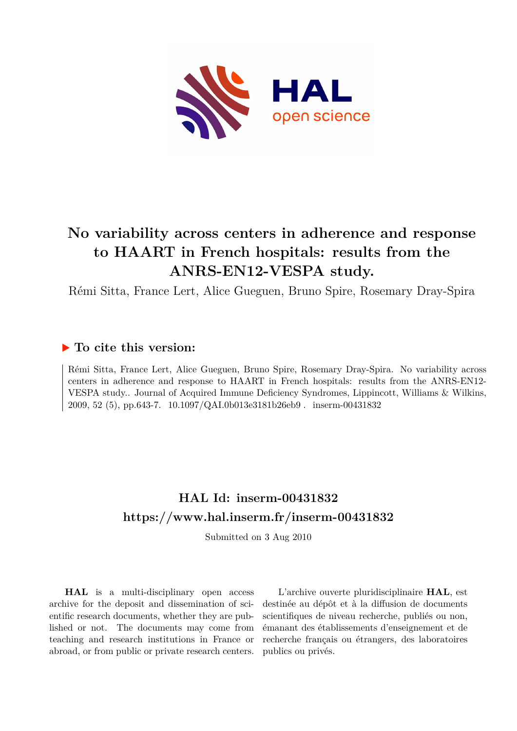

# **No variability across centers in adherence and response to HAART in French hospitals: results from the ANRS-EN12-VESPA study.**

Rémi Sitta, France Lert, Alice Gueguen, Bruno Spire, Rosemary Dray-Spira

# **To cite this version:**

Rémi Sitta, France Lert, Alice Gueguen, Bruno Spire, Rosemary Dray-Spira. No variability across centers in adherence and response to HAART in French hospitals: results from the ANRS-EN12- VESPA study.. Journal of Acquired Immune Deficiency Syndromes, Lippincott, Williams & Wilkins, 2009, 52 (5), pp.643-7. 10.1097/QAI.0b013e3181b26eb9 . inserm-00431832

# **HAL Id: inserm-00431832 <https://www.hal.inserm.fr/inserm-00431832>**

Submitted on 3 Aug 2010

**HAL** is a multi-disciplinary open access archive for the deposit and dissemination of scientific research documents, whether they are published or not. The documents may come from teaching and research institutions in France or abroad, or from public or private research centers.

L'archive ouverte pluridisciplinaire **HAL**, est destinée au dépôt et à la diffusion de documents scientifiques de niveau recherche, publiés ou non, émanant des établissements d'enseignement et de recherche français ou étrangers, des laboratoires publics ou privés.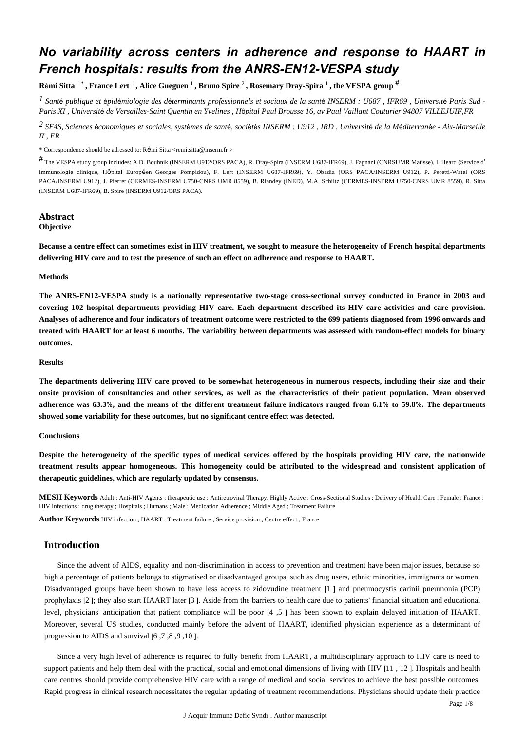# *No variability across centers in adherence and response to HAART in French hospitals: results from the ANRS-EN12-VESPA study*

**R**é**mi Sitta** 1 \* **, France Lert** <sup>1</sup> **, Alice Gueguen** <sup>1</sup> **, Bruno Spire** <sup>2</sup> **, Rosemary Dray-Spira** <sup>1</sup> **, the VESPA group** #

<sup>1</sup> Santé publique et épidémiologie des déterminants professionnels et sociaux de la santé INSERM : U687, IFR69, Université Paris Sud -*Paris XI , Universit*é *de Versailles-Saint Quentin en Yvelines , H*ô*pital Paul Brousse 16, av Paul Vaillant Couturier 94807 VILLEJUIF,FR*

*SE4S, Sciences conomiques et sociales, syst mes de sant , soci t s 2* <sup>é</sup> <sup>è</sup> <sup>é</sup> <sup>é</sup> <sup>é</sup> *INSERM : U912 , IRD , Universit*é *de la M*é*diterran*é*e - Aix-Marseille II , FR*

\* Correspondence should be adressed to: Rémi Sitta <remi.sitta@inserm.fr >

# The VESPA study group includes: A.D. Bouhnik (INSERM U912/ORS PACA), R. Dray-Spira (INSERM U687-IFR69), J. Fagnani (CNRSUMR Matisse), I. Heard (Service d' immunologie clinique, Hôpital Européen Georges Pompidou), F. Lert (INSERM U687-IFR69), Y. Obadia (ORS PACA/INSERM U912), P. Peretti-Watel (ORS PACA/INSERM U912), J. Pierret (CERMES-INSERM U750-CNRS UMR 8559), B. Riandey (INED), M.A. Schiltz (CERMES-INSERM U750-CNRS UMR 8559), R. Sitta (INSERM U687-IFR69), B. Spire (INSERM U912/ORS PACA).

#### **Abstract Objective**

**Because a centre effect can sometimes exist in HIV treatment, we sought to measure the heterogeneity of French hospital departments delivering HIV care and to test the presence of such an effect on adherence and response to HAART.**

#### **Methods**

**The ANRS-EN12-VESPA study is a nationally representative two-stage cross-sectional survey conducted in France in 2003 and covering 102 hospital departments providing HIV care. Each department described its HIV care activities and care provision. Analyses of adherence and four indicators of treatment outcome were restricted to the 699 patients diagnosed from 1996 onwards and treated with HAART for at least 6 months. The variability between departments was assessed with random-effect models for binary outcomes.**

#### **Results**

**The departments delivering HIV care proved to be somewhat heterogeneous in numerous respects, including their size and their onsite provision of consultancies and other services, as well as the characteristics of their patient population. Mean observed adherence was 63.3**%**, and the means of the different treatment failure indicators ranged from 6.1**% **to 59.8**%**. The departments showed some variability for these outcomes, but no significant centre effect was detected.**

#### **Conclusions**

**Despite the heterogeneity of the specific types of medical services offered by the hospitals providing HIV care, the nationwide treatment results appear homogeneous. This homogeneity could be attributed to the widespread and consistent application of therapeutic guidelines, which are regularly updated by consensus.**

**MESH Keywords** Adult ; Anti-HIV Agents ; therapeutic use ; Antiretroviral Therapy, Highly Active ; Cross-Sectional Studies ; Delivery of Health Care ; Female ; France ; HIV Infections ; drug therapy ; Hospitals ; Humans ; Male ; Medication Adherence ; Middle Aged ; Treatment Failure

**Author Keywords** HIV infection ; HAART ; Treatment failure ; Service provision ; Centre effect ; France

### **Introduction**

Since the advent of AIDS, equality and non-discrimination in access to prevention and treatment have been major issues, because so high a percentage of patients belongs to stigmatised or disadvantaged groups, such as drug users, ethnic minorities, immigrants or women. Disadvantaged groups have been shown to have less access to zidovudine treatment [1 ] and pneumocystis carinii pneumonia (PCP) prophylaxis [2 ]; they also start HAART later [3 ]. Aside from the barriers to health care due to patients' financial situation and educational level, physicians' anticipation that patient compliance will be poor [4 ,5 ] has been shown to explain delayed initiation of HAART. Moreover, several US studies, conducted mainly before the advent of HAART, identified physician experience as a determinant of progression to AIDS and survival [6 ,7 ,8 ,9 ,10 ].

Since a very high level of adherence is required to fully benefit from HAART, a multidisciplinary approach to HIV care is need to support patients and help them deal with the practical, social and emotional dimensions of living with HIV [11 , 12 ]. Hospitals and health care centres should provide comprehensive HIV care with a range of medical and social services to achieve the best possible outcomes. Rapid progress in clinical research necessitates the regular updating of treatment recommendations. Physicians should update their practice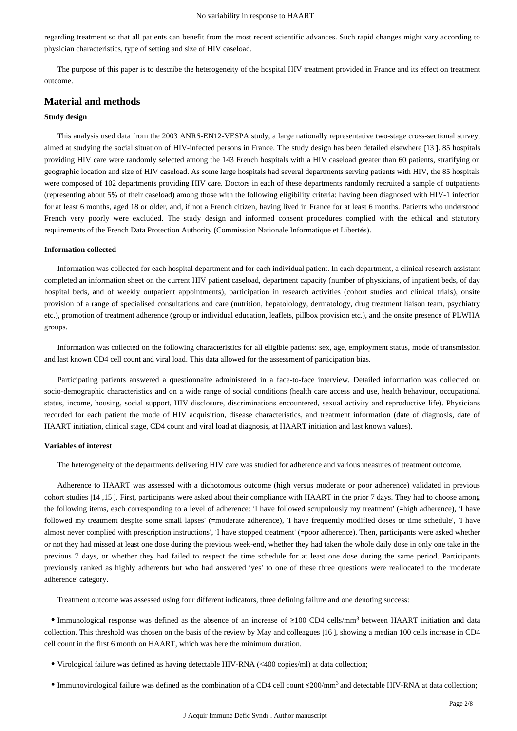regarding treatment so that all patients can benefit from the most recent scientific advances. Such rapid changes might vary according to physician characteristics, type of setting and size of HIV caseload.

The purpose of this paper is to describe the heterogeneity of the hospital HIV treatment provided in France and its effect on treatment outcome.

### **Material and methods**

#### **Study design**

This analysis used data from the 2003 ANRS-EN12-VESPA study, a large nationally representative two-stage cross-sectional survey, aimed at studying the social situation of HIV-infected persons in France. The study design has been detailed elsewhere [13 ]. 85 hospitals providing HIV care were randomly selected among the 143 French hospitals with a HIV caseload greater than 60 patients, stratifying on geographic location and size of HIV caseload. As some large hospitals had several departments serving patients with HIV, the 85 hospitals were composed of 102 departments providing HIV care. Doctors in each of these departments randomly recruited a sample of outpatients (representing about 5% of their caseload) among those with the following eligibility criteria: having been diagnosed with HIV-1 infection for at least 6 months, aged 18 or older, and, if not a French citizen, having lived in France for at least 6 months. Patients who understood French very poorly were excluded. The study design and informed consent procedures complied with the ethical and statutory requirements of the French Data Protection Authority (Commission Nationale Informatique et Libertés).

#### **Information collected**

Information was collected for each hospital department and for each individual patient. In each department, a clinical research assistant completed an information sheet on the current HIV patient caseload, department capacity (number of physicians, of inpatient beds, of day hospital beds, and of weekly outpatient appointments), participation in research activities (cohort studies and clinical trials), onsite provision of a range of specialised consultations and care (nutrition, hepatolology, dermatology, drug treatment liaison team, psychiatry etc.), promotion of treatment adherence (group or individual education, leaflets, pillbox provision etc.), and the onsite presence of PLWHA groups.

Information was collected on the following characteristics for all eligible patients: sex, age, employment status, mode of transmission and last known CD4 cell count and viral load. This data allowed for the assessment of participation bias.

Participating patients answered a questionnaire administered in a face-to-face interview. Detailed information was collected on socio-demographic characteristics and on a wide range of social conditions (health care access and use, health behaviour, occupational status, income, housing, social support, HIV disclosure, discriminations encountered, sexual activity and reproductive life). Physicians recorded for each patient the mode of HIV acquisition, disease characteristics, and treatment information (date of diagnosis, date of HAART initiation, clinical stage, CD4 count and viral load at diagnosis, at HAART initiation and last known values).

#### **Variables of interest**

The heterogeneity of the departments delivering HIV care was studied for adherence and various measures of treatment outcome.

Adherence to HAART was assessed with a dichotomous outcome (high versus moderate or poor adherence) validated in previous cohort studies [14 ,15 ]. First, participants were asked about their compliance with HAART in the prior 7 days. They had to choose among the following items, each corresponding to a level of adherence: 'I have followed scrupulously my treatment' (=high adherence), 'I have followed my treatment despite some small lapses' (=moderate adherence), 'I have frequently modified doses or time schedule', 'I have almost never complied with prescription instructions', 'I have stopped treatment' (=poor adherence). Then, participants were asked whether or not they had missed at least one dose during the previous week-end, whether they had taken the whole daily dose in only one take in the previous 7 days, or whether they had failed to respect the time schedule for at least one dose during the same period. Participants previously ranked as highly adherents but who had answered 'yes' to one of these three questions were reallocated to the 'moderate adherence' category.

Treatment outcome was assessed using four different indicators, three defining failure and one denoting success:

• Immunological response was defined as the absence of an increase of  $\geq 100$  CD4 cells/mm<sup>3</sup> between HAART initiation and data collection. This threshold was chosen on the basis of the review by May and colleagues [16 ], showing a median 100 cells increase in CD4 cell count in the first 6 month on HAART, which was here the minimum duration.

- Virological failure was defined as having detectable HIV-RNA (<400 copies/ml) at data collection;
- $\bullet$  Immunovirological failure was defined as the combination of a CD4 cell count  $\leq 200/\text{mm}^3$  and detectable HIV-RNA at data collection: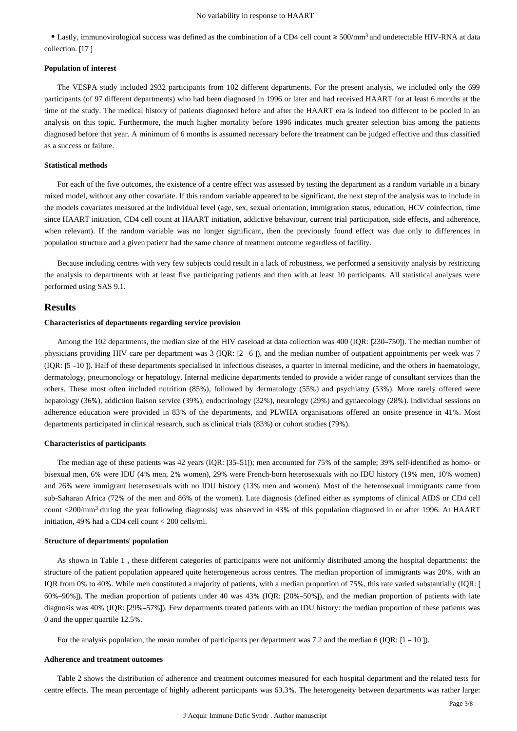• Lastly, immunovirological success was defined as the combination of a CD4 cell count ≥ 500/mm<sup>3</sup> and undetectable HIV-RNA at data collection. [17 ]

#### **Population of interest**

The VESPA study included 2932 participants from 102 different departments. For the present analysis, we included only the 699 participants (of 97 different departments) who had been diagnosed in 1996 or later and had received HAART for at least 6 months at the time of the study. The medical history of patients diagnosed before and after the HAART era is indeed too different to be pooled in an analysis on this topic. Furthermore, the much higher mortality before 1996 indicates much greater selection bias among the patients diagnosed before that year. A minimum of 6 months is assumed necessary before the treatment can be judged effective and thus classified as a success or failure.

#### **Statistical methods**

For each of the five outcomes, the existence of a centre effect was assessed by testing the department as a random variable in a binary mixed model, without any other covariate. If this random variable appeared to be significant, the next step of the analysis was to include in the models covariates measured at the individual level (age, sex, sexual orientation, immigration status, education, HCV coinfection, time since HAART initiation, CD4 cell count at HAART initiation, addictive behaviour, current trial participation, side effects, and adherence, when relevant). If the random variable was no longer significant, then the previously found effect was due only to differences in population structure and a given patient had the same chance of treatment outcome regardless of facility.

Because including centres with very few subjects could result in a lack of robustness, we performed a sensitivity analysis by restricting the analysis to departments with at least five participating patients and then with at least 10 participants. All statistical analyses were performed using SAS 9.1.

#### **Results**

#### **Characteristics of departments regarding service provision**

Among the 102 departments, the median size of the HIV caseload at data collection was 400 (IQR: [230–750]). The median number of physicians providing HIV care per department was 3 (IQR: [2 –6 ]), and the median number of outpatient appointments per week was 7 (IQR: [5 –10 ]). Half of these departments specialised in infectious diseases, a quarter in internal medicine, and the others in haematology, dermatology, pneumonology or hepatology. Internal medicine departments tended to provide a wider range of consultant services than the others. These most often included nutrition (85%), followed by dermatology (55%) and psychiatry (53%). More rarely offered were hepatology (36%), addiction liaison service (39%), endocrinology (32%), neurology (29%) and gynaecology (28%). Individual sessions on adherence education were provided in 83% of the departments, and PLWHA organisations offered an onsite presence in 41%. Most departments participated in clinical research, such as clinical trials (83%) or cohort studies (79%).

#### **Characteristics of participants**

The median age of these patients was 42 years (IQR: [35–51]); men accounted for 75% of the sample; 39% self-identified as homo- or bisexual men, 6% were IDU (4% men, 2% women), 29% were French-born heterosexuals with no IDU history (19% men, 10% women) and 26% were immigrant heterosexuals with no IDU history (13% men and women). Most of the heterosexual immigrants came from sub-Saharan Africa (72% of the men and 86% of the women). Late diagnosis (defined either as symptoms of clinical AIDS or CD4 cell count <200/mm<sup>3</sup> during the year following diagnosis) was observed in 43% of this population diagnosed in or after 1996. At HAART initiation, 49% had a CD4 cell count < 200 cells/ml.

#### **Structure of departments**' **population**

As shown in Table 1 , these different categories of participants were not uniformly distributed among the hospital departments: the structure of the patient population appeared quite heterogeneous across centres. The median proportion of immigrants was 20%, with an IQR from 0% to 40%. While men constituted a majority of patients, with a median proportion of 75%, this rate varied substantially (IQR: [ 60%–90%]). The median proportion of patients under 40 was 43% (IQR: [20%–50%]), and the median proportion of patients with late diagnosis was 40% (IQR: [29%–57%]). Few departments treated patients with an IDU history: the median proportion of these patients was 0 and the upper quartile 12.5%.

For the analysis population, the mean number of participants per department was 7.2 and the median 6 (IQR: [1 – 10]).

#### **Adherence and treatment outcomes**

Table 2 shows the distribution of adherence and treatment outcomes measured for each hospital department and the related tests for centre effects. The mean percentage of highly adherent participants was 63.3%. The heterogeneity between departments was rather large: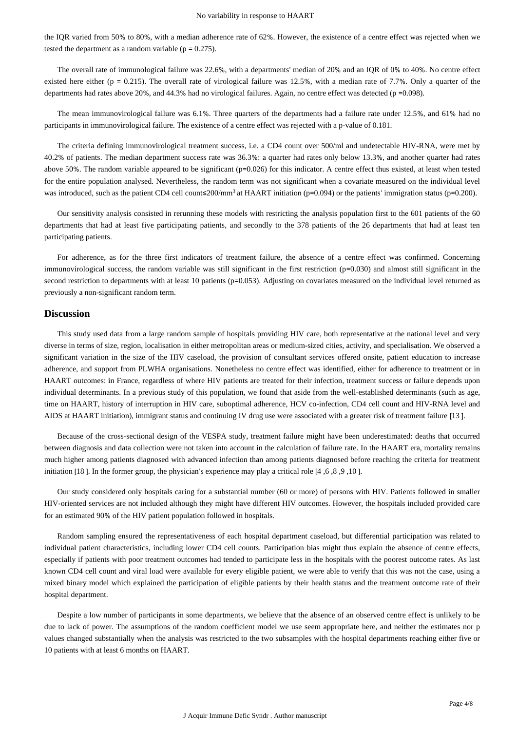the IQR varied from 50% to 80%, with a median adherence rate of 62%. However, the existence of a centre effect was rejected when we tested the department as a random variable ( $p = 0.275$ ).

The overall rate of immunological failure was 22.6%, with a departments' median of 20% and an IQR of 0% to 40%. No centre effect existed here either ( $p = 0.215$ ). The overall rate of virological failure was 12.5%, with a median rate of 7.7%. Only a quarter of the departments had rates above 20%, and 44.3% had no virological failures. Again, no centre effect was detected (p =0.098).

The mean immunovirological failure was 6.1%. Three quarters of the departments had a failure rate under 12.5%, and 61% had no participants in immunovirological failure. The existence of a centre effect was rejected with a p-value of 0.181.

The criteria defining immunovirological treatment success, i.e. a CD4 count over 500/ml and undetectable HIV-RNA, were met by 40.2% of patients. The median department success rate was 36.3%: a quarter had rates only below 13.3%, and another quarter had rates above 50%. The random variable appeared to be significant (p=0.026) for this indicator. A centre effect thus existed, at least when tested for the entire population analysed. Nevertheless, the random term was not significant when a covariate measured on the individual level was introduced, such as the patient CD4 cell count≤200/mm<sup>3</sup> at HAART initiation (p=0.094) or the patients' immigration status (p=0.200).

Our sensitivity analysis consisted in rerunning these models with restricting the analysis population first to the 601 patients of the 60 departments that had at least five participating patients, and secondly to the 378 patients of the 26 departments that had at least ten participating patients.

For adherence, as for the three first indicators of treatment failure, the absence of a centre effect was confirmed. Concerning immunovirological success, the random variable was still significant in the first restriction (p=0.030) and almost still significant in the second restriction to departments with at least 10 patients (p=0.053). Adjusting on covariates measured on the individual level returned as previously a non-significant random term.

#### **Discussion**

This study used data from a large random sample of hospitals providing HIV care, both representative at the national level and very diverse in terms of size, region, localisation in either metropolitan areas or medium-sized cities, activity, and specialisation. We observed a significant variation in the size of the HIV caseload, the provision of consultant services offered onsite, patient education to increase adherence, and support from PLWHA organisations. Nonetheless no centre effect was identified, either for adherence to treatment or in HAART outcomes: in France, regardless of where HIV patients are treated for their infection, treatment success or failure depends upon individual determinants. In a previous study of this population, we found that aside from the well-established determinants (such as age, time on HAART, history of interruption in HIV care, suboptimal adherence, HCV co-infection, CD4 cell count and HIV-RNA level and AIDS at HAART initiation), immigrant status and continuing IV drug use were associated with a greater risk of treatment failure [13 ].

Because of the cross-sectional design of the VESPA study, treatment failure might have been underestimated: deaths that occurred between diagnosis and data collection were not taken into account in the calculation of failure rate. In the HAART era, mortality remains much higher among patients diagnosed with advanced infection than among patients diagnosed before reaching the criteria for treatment initiation [18 ]. In the former group, the physician's experience may play a critical role [4 ,6 ,8 ,9 ,10 ].

Our study considered only hospitals caring for a substantial number (60 or more) of persons with HIV. Patients followed in smaller HIV-oriented services are not included although they might have different HIV outcomes. However, the hospitals included provided care for an estimated 90% of the HIV patient population followed in hospitals.

Random sampling ensured the representativeness of each hospital department caseload, but differential participation was related to individual patient characteristics, including lower CD4 cell counts. Participation bias might thus explain the absence of centre effects, especially if patients with poor treatment outcomes had tended to participate less in the hospitals with the poorest outcome rates. As last known CD4 cell count and viral load were available for every eligible patient, we were able to verify that this was not the case, using a mixed binary model which explained the participation of eligible patients by their health status and the treatment outcome rate of their hospital department.

Despite a low number of participants in some departments, we believe that the absence of an observed centre effect is unlikely to be due to lack of power. The assumptions of the random coefficient model we use seem appropriate here, and neither the estimates nor p values changed substantially when the analysis was restricted to the two subsamples with the hospital departments reaching either five or 10 patients with at least 6 months on HAART.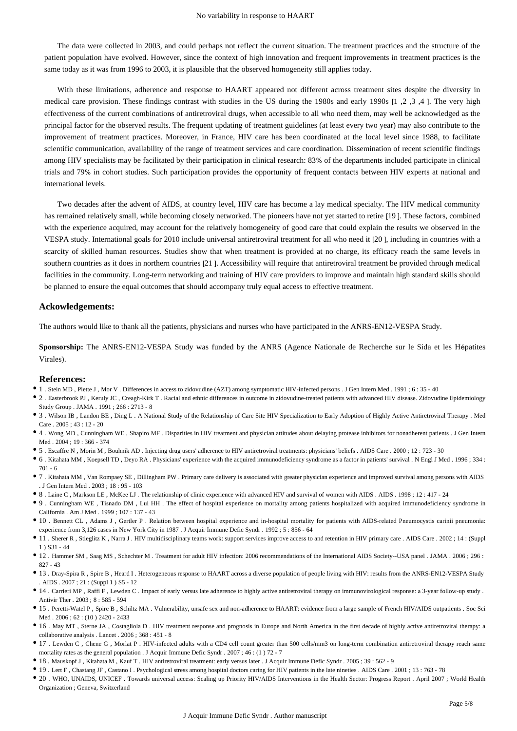The data were collected in 2003, and could perhaps not reflect the current situation. The treatment practices and the structure of the patient population have evolved. However, since the context of high innovation and frequent improvements in treatment practices is the same today as it was from 1996 to 2003, it is plausible that the observed homogeneity still applies today.

With these limitations, adherence and response to HAART appeared not different across treatment sites despite the diversity in medical care provision. These findings contrast with studies in the US during the 1980s and early 1990s [1 ,2 ,3 ,4 ]. The very high effectiveness of the current combinations of antiretroviral drugs, when accessible to all who need them, may well be acknowledged as the principal factor for the observed results. The frequent updating of treatment guidelines (at least every two year) may also contribute to the improvement of treatment practices. Moreover, in France, HIV care has been coordinated at the local level since 1988, to facilitate scientific communication, availability of the range of treatment services and care coordination. Dissemination of recent scientific findings among HIV specialists may be facilitated by their participation in clinical research: 83% of the departments included participate in clinical trials and 79% in cohort studies. Such participation provides the opportunity of frequent contacts between HIV experts at national and international levels.

Two decades after the advent of AIDS, at country level, HIV care has become a lay medical specialty. The HIV medical community has remained relatively small, while becoming closely networked. The pioneers have not yet started to retire [19 ]. These factors, combined with the experience acquired, may account for the relatively homogeneity of good care that could explain the results we observed in the VESPA study. International goals for 2010 include universal antiretroviral treatment for all who need it [20 ], including in countries with a scarcity of skilled human resources. Studies show that when treatment is provided at no charge, its efficacy reach the same levels in southern countries as it does in northern countries [21 ]. Accessibility will require that antiretroviral treatment be provided through medical facilities in the community. Long-term networking and training of HIV care providers to improve and maintain high standard skills should be planned to ensure the equal outcomes that should accompany truly equal access to effective treatment.

#### **Ackowledgements:**

The authors would like to thank all the patients, physicians and nurses who have participated in the ANRS-EN12-VESPA Study.

**Sponsorship:** The ANRS-EN12-VESPA Study was funded by the ANRS (Agence Nationale de Recherche sur le Sida et les Hépatites Virales).

#### **References:**

- 1 . Stein MD , Piette J , Mor V . Differences in access to zidovudine (AZT) among symptomatic HIV-infected persons . J Gen Intern Med . 1991 ; 6 : 35 40
- 2 . Easterbrook PJ , Keruly JC , Creagh-Kirk T . Racial and ethnic differences in outcome in zidovudine-treated patients with advanced HIV disease. Zidovudine Epidemiology Study Group . JAMA . 1991 ; 266 : 2713 - 8
- 3 . Wilson IB , Landon BE , Ding L . A National Study of the Relationship of Care Site HIV Specialization to Early Adoption of Highly Active Antiretroviral Therapy . Med Care . 2005 ; 43 : 12 - 20
- 4 . Wong MD , Cunningham WE , Shapiro MF . Disparities in HIV treatment and physician attitudes about delaying protease inhibitors for nonadherent patients . J Gen Intern Med . 2004 ; 19 : 366 - 374
- 5 . Escaffre N , Morin M , Bouhnik AD . Injecting drug users' adherence to HIV antiretroviral treatments: physicians' beliefs . AIDS Care . 2000 ; 12 : 723 30
- 6 . Kitahata MM , Koepsell TD , Deyo RA . Physicians' experience with the acquired immunodeficiency syndrome as a factor in patients' survival . N Engl J Med . 1996 ; 334 : 701 - 6
- 7 . Kitahata MM , Van Rompaey SE , Dillingham PW . Primary care delivery is associated with greater physician experience and improved survival among persons with AIDS . J Gen Intern Med . 2003 ; 18 : 95 - 103
- 8 . Laine C , Markson LE , McKee LJ . The relationship of clinic experience with advanced HIV and survival of women with AIDS . AIDS . 1998 ; 12 : 417 24
- 9 . Cunningham WE , Tisnado DM , Lui HH . The effect of hospital experience on mortality among patients hospitalized with acquired immunodeficiency syndrome in California . Am J Med . 1999 ; 107 : 137 - 43
- 10 . Bennett CL , Adams J , Gertler P . Relation between hospital experience and in-hospital mortality for patients with AIDS-related Pneumocystis carinii pneumonia: experience from 3,126 cases in New York City in 1987. J Acquir Immune Defic Syndr. 1992 : 5 : 856 - 64
- 11 . Sherer R , Stieglitz K , Narra J . HIV multidisciplinary teams work: support services improve access to and retention in HIV primary care . AIDS Care . 2002 ; 14 : (Suppl 1 ) S31 - 44
- 12 . Hammer SM , Saag MS , Schechter M . Treatment for adult HIV infection: 2006 recommendations of the International AIDS Society--USA panel . JAMA . 2006 ; 296 : 827 - 43
- 13 . Dray-Spira R , Spire B , Heard I . Heterogeneous response to HAART across a diverse population of people living with HIV: results from the ANRS-EN12-VESPA Study . AIDS . 2007 ; 21 : (Suppl 1 ) S5 - 12
- 14 . Carrieri MP , Raffi F , Lewden C . Impact of early versus late adherence to highly active antiretroviral therapy on immunovirological response: a 3-year follow-up study . Antivir Ther . 2003 ; 8 : 585 - 594
- 15 . Peretti-Watel P , Spire B , Schiltz MA . Vulnerability, unsafe sex and non-adherence to HAART: evidence from a large sample of French HIV/AIDS outpatients . Soc Sci Med . 2006 ; 62 : (10 ) 2420 - 2433
- 16 . May MT , Sterne JA , Costagliola D . HIV treatment response and prognosis in Europe and North America in the first decade of highly active antiretroviral therapy: a collaborative analysis . Lancet . 2006 ; 368 : 451 - 8
- 17 . Lewden C , Chene G , Morlat P . HIV-infected adults with a CD4 cell count greater than 500 cells/mm3 on long-term combination antiretroviral therapy reach same mortality rates as the general population . J Acquir Immune Defic Syndr . 2007 ; 46 : (1 ) 72 - 7
- 18 . Mauskopf J , Kitahata M , Kauf T . HIV antiretroviral treatment: early versus later . J Acquir Immune Defic Syndr . 2005 ; 39 : 562 9
- 19 . Lert F , Chastang JF , Castano I . Psychological stress among hospital doctors caring for HIV patients in the late nineties . AIDS Care . 2001 ; 13 : 763 78
- 20 . WHO, UNAIDS, UNICEF . Towards universal access: Scaling up Priority HIV/AIDS Interventions in the Health Sector: Progress Report . April 2007 ; World Health Organization ; Geneva, Switzerland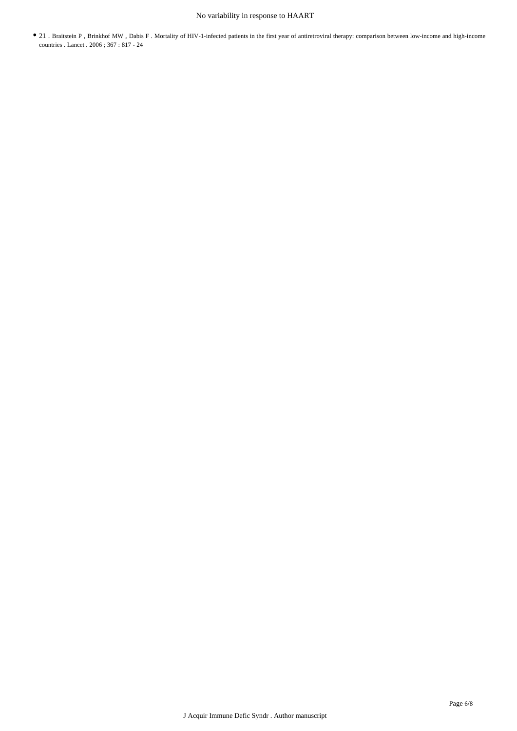## No variability in response to HAART

21 . Braitstein P , Brinkhof MW , Dabis F . Mortality of HIV-1-infected patients in the first year of antiretroviral therapy: comparison between low-income and high-income countries . Lancet . 2006 ; 367 : 817 - 24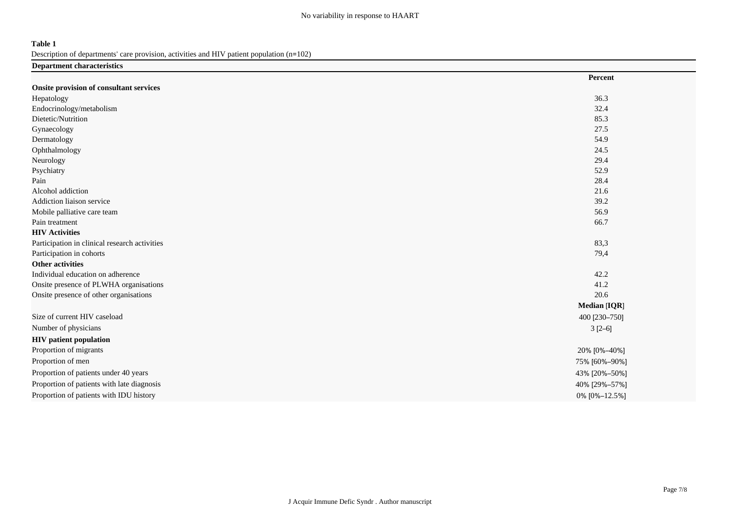### **Table 1**

Description of departments' care provision, activities and HIV patient population (n=102)

| <b>Department characteristics</b>             |                     |
|-----------------------------------------------|---------------------|
|                                               | Percent             |
| Onsite provision of consultant services       |                     |
| Hepatology                                    | 36.3                |
| Endocrinology/metabolism                      | 32.4                |
| Dietetic/Nutrition                            | 85.3                |
| Gynaecology                                   | 27.5                |
| Dermatology                                   | 54.9                |
| Ophthalmology                                 | 24.5                |
| Neurology                                     | 29.4                |
| Psychiatry                                    | 52.9                |
| Pain                                          | 28.4                |
| Alcohol addiction                             | 21.6                |
| Addiction liaison service                     | 39.2                |
| Mobile palliative care team                   | 56.9                |
| Pain treatment                                | 66.7                |
| <b>HIV Activities</b>                         |                     |
| Participation in clinical research activities | 83,3                |
| Participation in cohorts                      | 79,4                |
| <b>Other activities</b>                       |                     |
| Individual education on adherence             | 42.2                |
| Onsite presence of PLWHA organisations        | 41.2                |
| Onsite presence of other organisations        | 20.6                |
|                                               | <b>Median [IQR]</b> |
| Size of current HIV caseload                  | 400 [230-750]       |
| Number of physicians                          | $3[2-6]$            |
| <b>HIV</b> patient population                 |                     |
| Proportion of migrants                        | 20% [0%-40%]        |
| Proportion of men                             | 75% [60%-90%]       |
| Proportion of patients under 40 years         | 43% [20%-50%]       |
| Proportion of patients with late diagnosis    | 40% [29%-57%]       |
| Proportion of patients with IDU history       | 0% [0%-12.5%]       |